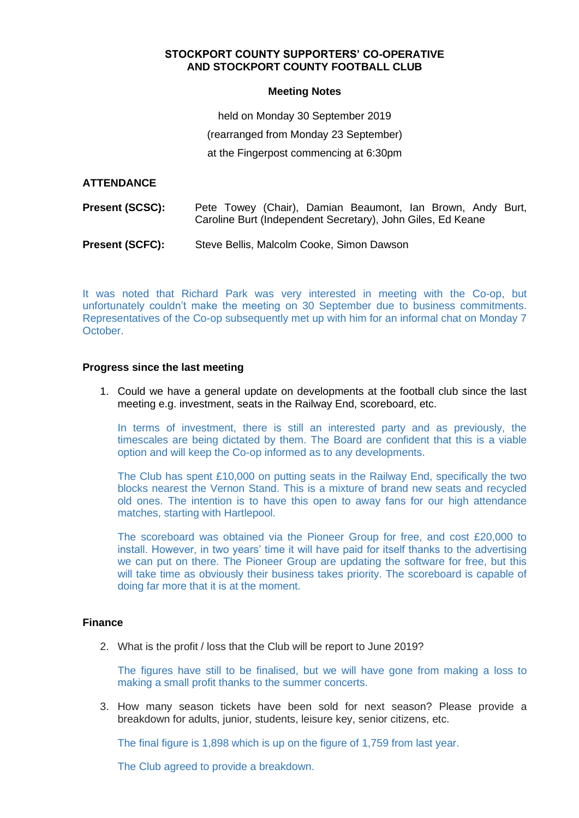# **STOCKPORT COUNTY SUPPORTERS' CO-OPERATIVE AND STOCKPORT COUNTY FOOTBALL CLUB**

### **Meeting Notes**

held on Monday 30 September 2019 (rearranged from Monday 23 September) at the Fingerpost commencing at 6:30pm

# **ATTENDANCE**

| <b>Present (SCSC):</b> | Pete Towey (Chair), Damian Beaumont, Ian Brown, Andy Burt,<br>Caroline Burt (Independent Secretary), John Giles, Ed Keane |
|------------------------|---------------------------------------------------------------------------------------------------------------------------|
| <b>Present (SCFC):</b> | Steve Bellis, Malcolm Cooke, Simon Dawson                                                                                 |

It was noted that Richard Park was very interested in meeting with the Co-op, but unfortunately couldn't make the meeting on 30 September due to business commitments. Representatives of the Co-op subsequently met up with him for an informal chat on Monday 7 October.

# **Progress since the last meeting**

1. Could we have a general update on developments at the football club since the last meeting e.g. investment, seats in the Railway End, scoreboard, etc.

In terms of investment, there is still an interested party and as previously, the timescales are being dictated by them. The Board are confident that this is a viable option and will keep the Co-op informed as to any developments.

The Club has spent £10,000 on putting seats in the Railway End, specifically the two blocks nearest the Vernon Stand. This is a mixture of brand new seats and recycled old ones. The intention is to have this open to away fans for our high attendance matches, starting with Hartlepool.

The scoreboard was obtained via the Pioneer Group for free, and cost £20,000 to install. However, in two years' time it will have paid for itself thanks to the advertising we can put on there. The Pioneer Group are updating the software for free, but this will take time as obviously their business takes priority. The scoreboard is capable of doing far more that it is at the moment.

# **Finance**

2. What is the profit / loss that the Club will be report to June 2019?

The figures have still to be finalised, but we will have gone from making a loss to making a small profit thanks to the summer concerts.

3. How many season tickets have been sold for next season? Please provide a breakdown for adults, junior, students, leisure key, senior citizens, etc.

The final figure is 1,898 which is up on the figure of 1,759 from last year.

The Club agreed to provide a breakdown.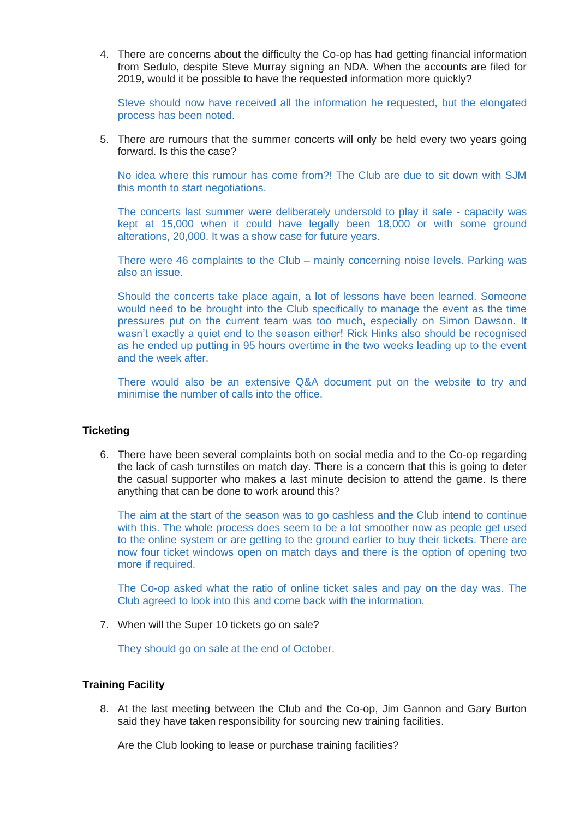4. There are concerns about the difficulty the Co-op has had getting financial information from Sedulo, despite Steve Murray signing an NDA. When the accounts are filed for 2019, would it be possible to have the requested information more quickly?

Steve should now have received all the information he requested, but the elongated process has been noted.

5. There are rumours that the summer concerts will only be held every two years going forward. Is this the case?

No idea where this rumour has come from?! The Club are due to sit down with SJM this month to start negotiations.

The concerts last summer were deliberately undersold to play it safe - capacity was kept at 15,000 when it could have legally been 18,000 or with some ground alterations, 20,000. It was a show case for future years.

There were 46 complaints to the Club – mainly concerning noise levels. Parking was also an issue.

Should the concerts take place again, a lot of lessons have been learned. Someone would need to be brought into the Club specifically to manage the event as the time pressures put on the current team was too much, especially on Simon Dawson. It wasn't exactly a quiet end to the season either! Rick Hinks also should be recognised as he ended up putting in 95 hours overtime in the two weeks leading up to the event and the week after.

There would also be an extensive Q&A document put on the website to try and minimise the number of calls into the office.

### **Ticketing**

6. There have been several complaints both on social media and to the Co-op regarding the lack of cash turnstiles on match day. There is a concern that this is going to deter the casual supporter who makes a last minute decision to attend the game. Is there anything that can be done to work around this?

The aim at the start of the season was to go cashless and the Club intend to continue with this. The whole process does seem to be a lot smoother now as people get used to the online system or are getting to the ground earlier to buy their tickets. There are now four ticket windows open on match days and there is the option of opening two more if required.

The Co-op asked what the ratio of online ticket sales and pay on the day was. The Club agreed to look into this and come back with the information.

7. When will the Super 10 tickets go on sale?

They should go on sale at the end of October.

#### **Training Facility**

8. At the last meeting between the Club and the Co-op, Jim Gannon and Gary Burton said they have taken responsibility for sourcing new training facilities.

Are the Club looking to lease or purchase training facilities?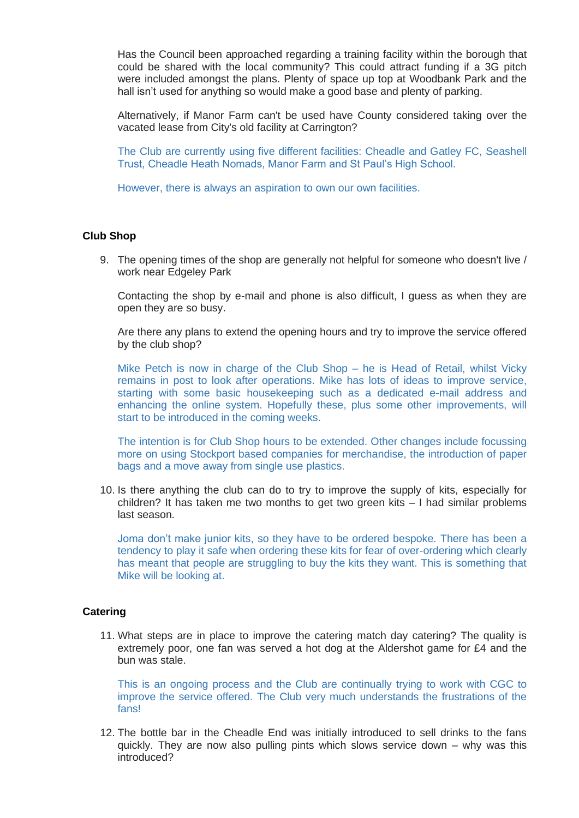Has the Council been approached regarding a training facility within the borough that could be shared with the local community? This could attract funding if a 3G pitch were included amongst the plans. Plenty of space up top at Woodbank Park and the hall isn't used for anything so would make a good base and plenty of parking.

Alternatively, if Manor Farm can't be used have County considered taking over the vacated lease from City's old facility at Carrington?

The Club are currently using five different facilities: Cheadle and Gatley FC, Seashell Trust, Cheadle Heath Nomads, Manor Farm and St Paul's High School.

However, there is always an aspiration to own our own facilities.

#### **Club Shop**

9. The opening times of the shop are generally not helpful for someone who doesn't live / work near Edgeley Park

Contacting the shop by e-mail and phone is also difficult, I guess as when they are open they are so busy.

Are there any plans to extend the opening hours and try to improve the service offered by the club shop?

Mike Petch is now in charge of the Club Shop – he is Head of Retail, whilst Vicky remains in post to look after operations. Mike has lots of ideas to improve service, starting with some basic housekeeping such as a dedicated e-mail address and enhancing the online system. Hopefully these, plus some other improvements, will start to be introduced in the coming weeks.

The intention is for Club Shop hours to be extended. Other changes include focussing more on using Stockport based companies for merchandise, the introduction of paper bags and a move away from single use plastics.

10. Is there anything the club can do to try to improve the supply of kits, especially for children? It has taken me two months to get two green kits – I had similar problems last season.

Joma don't make junior kits, so they have to be ordered bespoke. There has been a tendency to play it safe when ordering these kits for fear of over-ordering which clearly has meant that people are struggling to buy the kits they want. This is something that Mike will be looking at.

### **Catering**

11. What steps are in place to improve the catering match day catering? The quality is extremely poor, one fan was served a hot dog at the Aldershot game for £4 and the bun was stale.

This is an ongoing process and the Club are continually trying to work with CGC to improve the service offered. The Club very much understands the frustrations of the fans!

12. The bottle bar in the Cheadle End was initially introduced to sell drinks to the fans quickly. They are now also pulling pints which slows service down – why was this introduced?